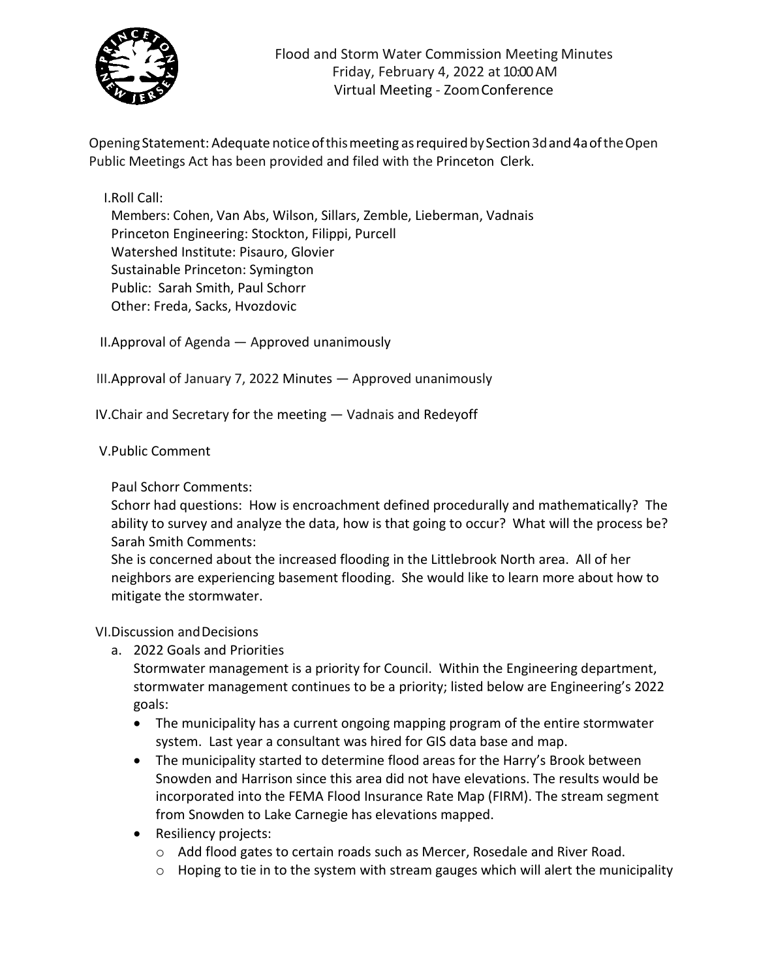

Opening Statement: Adequate noticeofthismeeting asrequiredbySection3dand4aoftheOpen Public Meetings Act has been provided and filed with the Princeton Clerk.

I.Roll Call:

Members: Cohen, Van Abs, Wilson, Sillars, Zemble, Lieberman, Vadnais Princeton Engineering: Stockton, Filippi, Purcell Watershed Institute: Pisauro, Glovier Sustainable Princeton: Symington Public: Sarah Smith, Paul Schorr Other: Freda, Sacks, Hvozdovic

II.Approval of Agenda — Approved unanimously

III.Approval of January 7, 2022 Minutes — Approved unanimously

IV.Chair and Secretary for the meeting — Vadnais and Redeyoff

## V.Public Comment

Paul Schorr Comments:

Schorr had questions: How is encroachment defined procedurally and mathematically? The ability to survey and analyze the data, how is that going to occur? What will the process be? Sarah Smith Comments:

She is concerned about the increased flooding in the Littlebrook North area. All of her neighbors are experiencing basement flooding. She would like to learn more about how to mitigate the stormwater.

## VI.Discussion andDecisions

a. 2022 Goals and Priorities

Stormwater management is a priority for Council. Within the Engineering department, stormwater management continues to be a priority; listed below are Engineering's 2022 goals:

- The municipality has a current ongoing mapping program of the entire stormwater system. Last year a consultant was hired for GIS data base and map.
- The municipality started to determine flood areas for the Harry's Brook between Snowden and Harrison since this area did not have elevations. The results would be incorporated into the FEMA Flood Insurance Rate Map (FIRM). The stream segment from Snowden to Lake Carnegie has elevations mapped.
- Resiliency projects:
	- o Add flood gates to certain roads such as Mercer, Rosedale and River Road.
	- $\circ$  Hoping to tie in to the system with stream gauges which will alert the municipality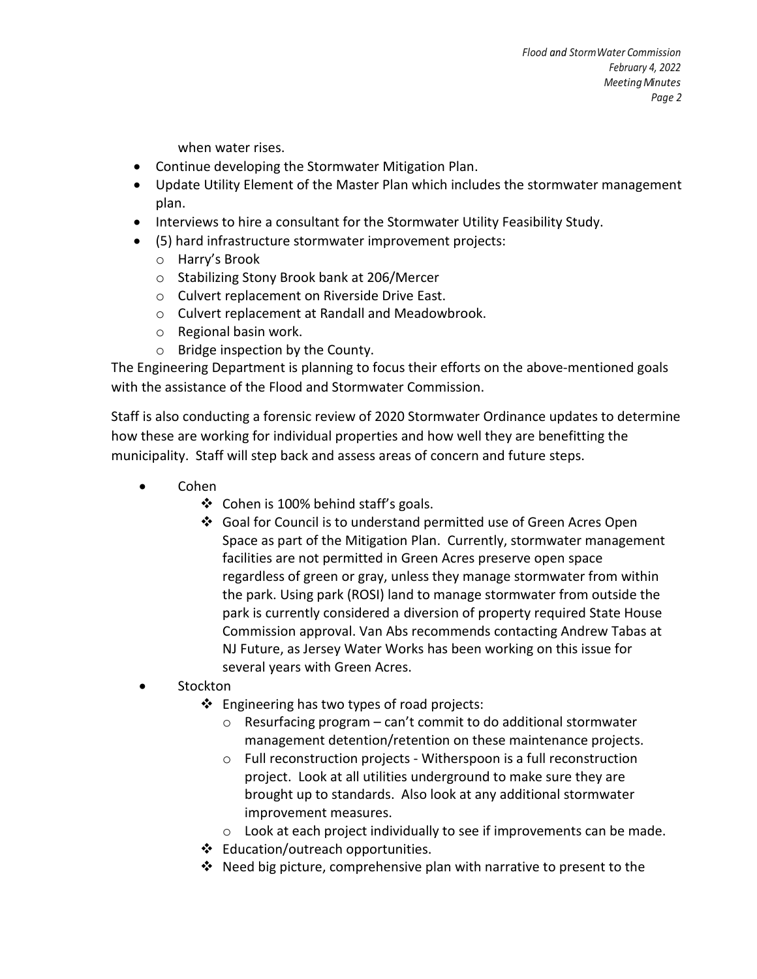when water rises.

- Continue developing the Stormwater Mitigation Plan.
- Update Utility Element of the Master Plan which includes the stormwater management plan.
- Interviews to hire a consultant for the Stormwater Utility Feasibility Study.
- (5) hard infrastructure stormwater improvement projects:
	- o Harry's Brook
	- o Stabilizing Stony Brook bank at 206/Mercer
	- o Culvert replacement on Riverside Drive East.
	- o Culvert replacement at Randall and Meadowbrook.
	- o Regional basin work.
	- o Bridge inspection by the County.

The Engineering Department is planning to focus their efforts on the above-mentioned goals with the assistance of the Flood and Stormwater Commission.

Staff is also conducting a forensic review of 2020 Stormwater Ordinance updates to determine how these are working for individual properties and how well they are benefitting the municipality. Staff will step back and assess areas of concern and future steps.

- Cohen
	- $\div$  Cohen is 100% behind staff's goals.
	- Goal for Council is to understand permitted use of Green Acres Open Space as part of the Mitigation Plan. Currently, stormwater management facilities are not permitted in Green Acres preserve open space regardless of green or gray, unless they manage stormwater from within the park. Using park (ROSI) land to manage stormwater from outside the park is currently considered a diversion of property required State House Commission approval. Van Abs recommends contacting Andrew Tabas at NJ Future, as Jersey Water Works has been working on this issue for several years with Green Acres.
- **Stockton** 
	- $\cdot$  Engineering has two types of road projects:
		- $\circ$  Resurfacing program can't commit to do additional stormwater management detention/retention on these maintenance projects.
		- o Full reconstruction projects Witherspoon is a full reconstruction project. Look at all utilities underground to make sure they are brought up to standards. Also look at any additional stormwater improvement measures.
		- o Look at each project individually to see if improvements can be made.
	- ❖ Education/outreach opportunities.
	- Need big picture, comprehensive plan with narrative to present to the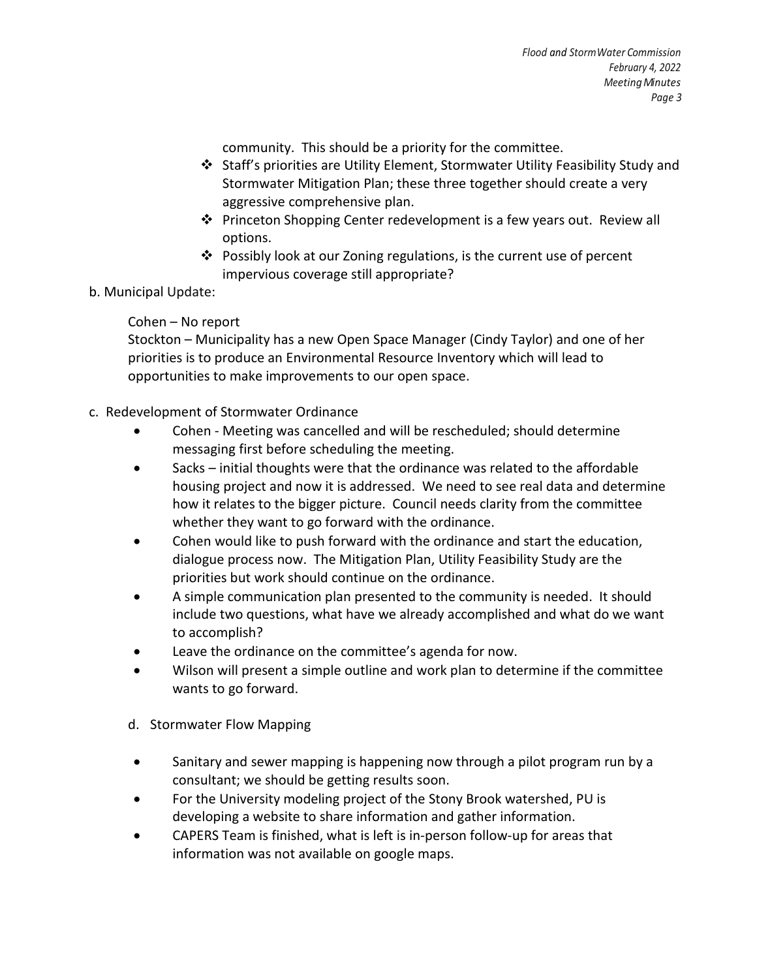community. This should be a priority for the committee.

- $\div$  Staff's priorities are Utility Element, Stormwater Utility Feasibility Study and Stormwater Mitigation Plan; these three together should create a very aggressive comprehensive plan.
- Princeton Shopping Center redevelopment is a few years out. Review all options.
- Possibly look at our Zoning regulations, is the current use of percent impervious coverage still appropriate?
- b. Municipal Update:

## Cohen – No report

Stockton – Municipality has a new Open Space Manager (Cindy Taylor) and one of her priorities is to produce an Environmental Resource Inventory which will lead to opportunities to make improvements to our open space.

- c. Redevelopment of Stormwater Ordinance
	- Cohen Meeting was cancelled and will be rescheduled; should determine messaging first before scheduling the meeting.
	- Sacks initial thoughts were that the ordinance was related to the affordable housing project and now it is addressed. We need to see real data and determine how it relates to the bigger picture. Council needs clarity from the committee whether they want to go forward with the ordinance.
	- Cohen would like to push forward with the ordinance and start the education, dialogue process now. The Mitigation Plan, Utility Feasibility Study are the priorities but work should continue on the ordinance.
	- A simple communication plan presented to the community is needed. It should include two questions, what have we already accomplished and what do we want to accomplish?
	- Leave the ordinance on the committee's agenda for now.
	- Wilson will present a simple outline and work plan to determine if the committee wants to go forward.
	- d. Stormwater Flow Mapping
	- Sanitary and sewer mapping is happening now through a pilot program run by a consultant; we should be getting results soon.
	- For the University modeling project of the Stony Brook watershed, PU is developing a website to share information and gather information.
	- CAPERS Team is finished, what is left is in-person follow-up for areas that information was not available on google maps.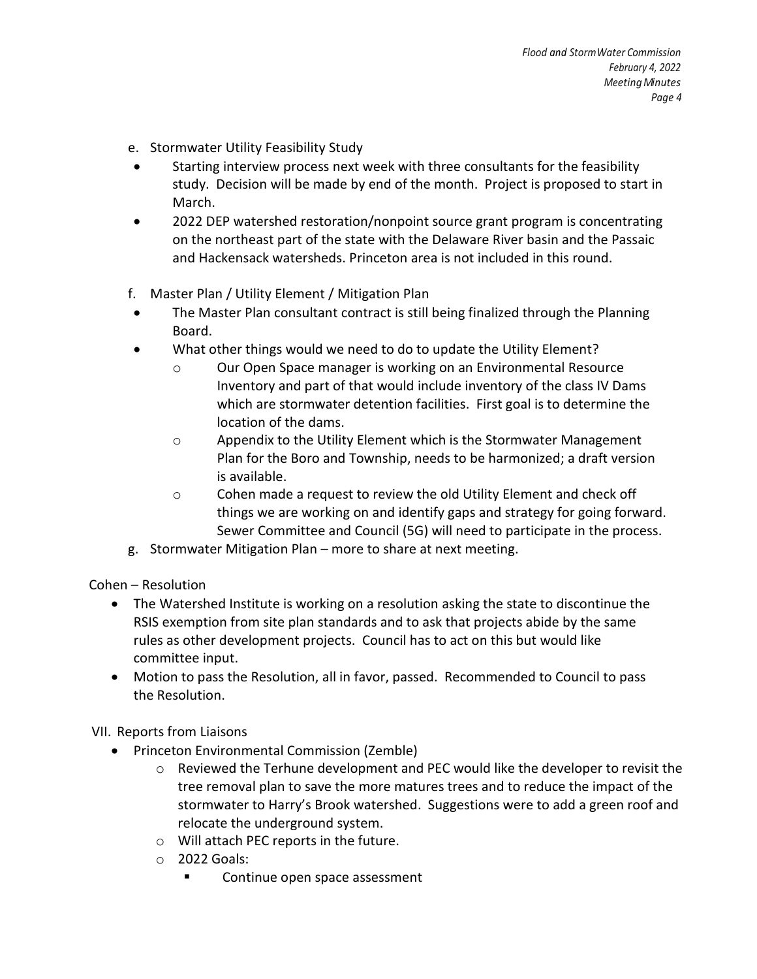- e. Stormwater Utility Feasibility Study
- Starting interview process next week with three consultants for the feasibility study. Decision will be made by end of the month. Project is proposed to start in March.
- 2022 DEP watershed restoration/nonpoint source grant program is concentrating on the northeast part of the state with the Delaware River basin and the Passaic and Hackensack watersheds. Princeton area is not included in this round.
- f. Master Plan / Utility Element / Mitigation Plan
- The Master Plan consultant contract is still being finalized through the Planning Board.
- What other things would we need to do to update the Utility Element?
	- o Our Open Space manager is working on an Environmental Resource Inventory and part of that would include inventory of the class IV Dams which are stormwater detention facilities. First goal is to determine the location of the dams.
	- o Appendix to the Utility Element which is the Stormwater Management Plan for the Boro and Township, needs to be harmonized; a draft version is available.
	- o Cohen made a request to review the old Utility Element and check off things we are working on and identify gaps and strategy for going forward. Sewer Committee and Council (5G) will need to participate in the process.
- g. Stormwater Mitigation Plan more to share at next meeting.

Cohen – Resolution

- The Watershed Institute is working on a resolution asking the state to discontinue the RSIS exemption from site plan standards and to ask that projects abide by the same rules as other development projects. Council has to act on this but would like committee input.
- Motion to pass the Resolution, all in favor, passed. Recommended to Council to pass the Resolution.

VII. Reports from Liaisons

- Princeton Environmental Commission (Zemble)
	- o Reviewed the Terhune development and PEC would like the developer to revisit the tree removal plan to save the more matures trees and to reduce the impact of the stormwater to Harry's Brook watershed. Suggestions were to add a green roof and relocate the underground system.
	- o Will attach PEC reports in the future.
	- $\circ$  2022 Goals:
		- Continue open space assessment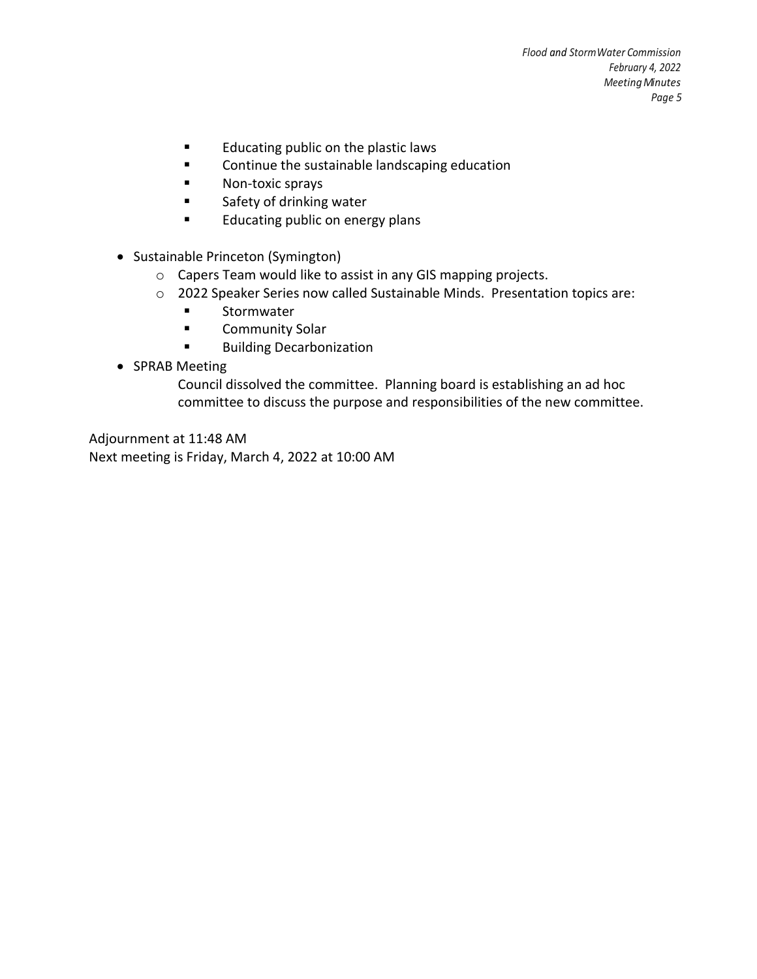- **Educating public on the plastic laws**
- **EXECONTITY CONTINUE THE SUSTAINABLE IN ASSESSM**
- **Non-toxic sprays**
- **Example 1** Safety of drinking water
- **Educating public on energy plans**
- Sustainable Princeton (Symington)
	- o Capers Team would like to assist in any GIS mapping projects.
	- o 2022 Speaker Series now called Sustainable Minds. Presentation topics are:
		- **Exercise Stormwater**
		- **E** Community Solar
		- **Building Decarbonization**
- SPRAB Meeting

Council dissolved the committee. Planning board is establishing an ad hoc committee to discuss the purpose and responsibilities of the new committee.

Adjournment at 11:48 AM Next meeting is Friday, March 4, 2022 at 10:00 AM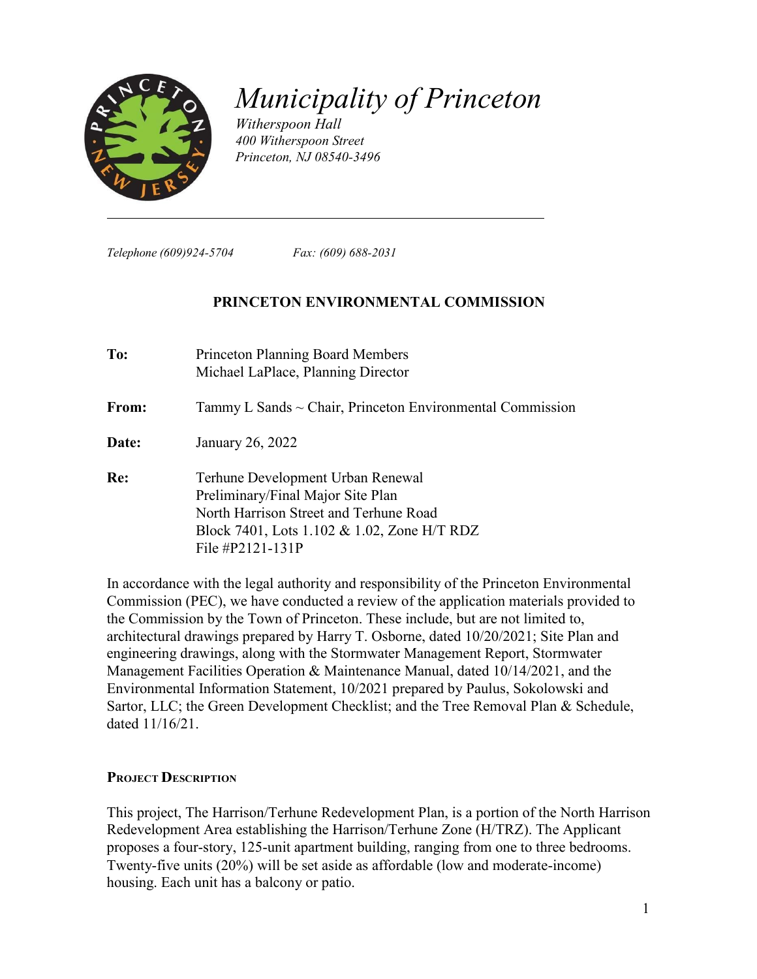

# *Municipality of Princeton*

*Witherspoon Hall 400 Witherspoon Street Princeton, NJ 08540-3496*

*Telephone (609)924-5704 Fax: (609) 688-2031*

#### **PRINCETON ENVIRONMENTAL COMMISSION**

| To:   | <b>Princeton Planning Board Members</b><br>Michael LaPlace, Planning Director                                                                                                       |
|-------|-------------------------------------------------------------------------------------------------------------------------------------------------------------------------------------|
| From: | Tammy L Sands $\sim$ Chair, Princeton Environmental Commission                                                                                                                      |
| Date: | January 26, 2022                                                                                                                                                                    |
| Re:   | Terhune Development Urban Renewal<br>Preliminary/Final Major Site Plan<br>North Harrison Street and Terhune Road<br>Block 7401, Lots 1.102 & 1.02, Zone H/T RDZ<br>File #P2121-131P |

In accordance with the legal authority and responsibility of the Princeton Environmental Commission (PEC), we have conducted a review of the application materials provided to the Commission by the Town of Princeton. These include, but are not limited to, architectural drawings prepared by Harry T. Osborne, dated 10/20/2021; Site Plan and engineering drawings, along with the Stormwater Management Report, Stormwater Management Facilities Operation & Maintenance Manual, dated 10/14/2021, and the Environmental Information Statement, 10/2021 prepared by Paulus, Sokolowski and Sartor, LLC; the Green Development Checklist; and the Tree Removal Plan & Schedule, dated 11/16/21.

#### **PROJECT DESCRIPTION**

This project, The Harrison/Terhune Redevelopment Plan, is a portion of the North Harrison Redevelopment Area establishing the Harrison/Terhune Zone (H/TRZ). The Applicant proposes a four-story, 125-unit apartment building, ranging from one to three bedrooms. Twenty-five units (20%) will be set aside as affordable (low and moderate-income) housing. Each unit has a balcony or patio.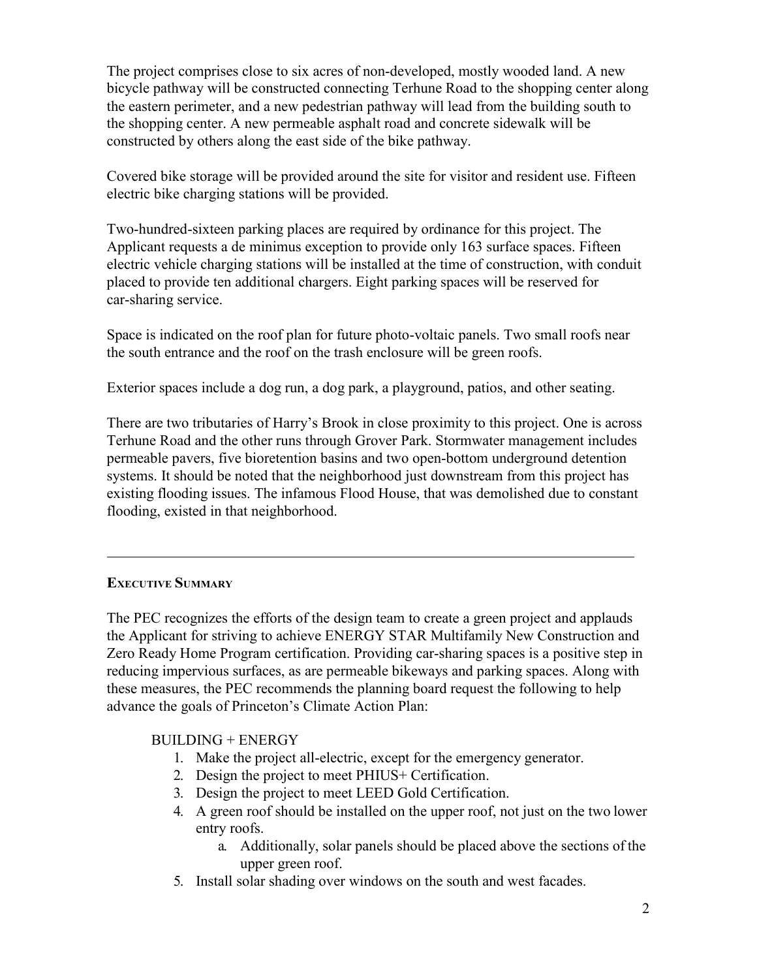The project comprises close to six acres of non-developed, mostly wooded land. A new bicycle pathway will be constructed connecting Terhune Road to the shopping center along the eastern perimeter, and a new pedestrian pathway will lead from the building south to the shopping center. A new permeable asphalt road and concrete sidewalk will be constructed by others along the east side of the bike pathway.

Covered bike storage will be provided around the site for visitor and resident use. Fifteen electric bike charging stations will be provided.

Two-hundred-sixteen parking places are required by ordinance for this project. The Applicant requests a de minimus exception to provide only 163 surface spaces. Fifteen electric vehicle charging stations will be installed at the time of construction, with conduit placed to provide ten additional chargers. Eight parking spaces will be reserved for car-sharing service.

Space is indicated on the roof plan for future photo-voltaic panels. Two small roofs near the south entrance and the roof on the trash enclosure will be green roofs.

Exterior spaces include a dog run, a dog park, a playground, patios, and other seating.

There are two tributaries of Harry's Brook in close proximity to this project. One is across Terhune Road and the other runs through Grover Park. Stormwater management includes permeable pavers, five bioretention basins and two open-bottom underground detention systems. It should be noted that the neighborhood just downstream from this project has existing flooding issues. The infamous Flood House, that was demolished due to constant flooding, existed in that neighborhood.

# **EXECUTIVE SUMMARY**

The PEC recognizes the efforts of the design team to create a green project and applauds the Applicant for striving to achieve ENERGY STAR Multifamily New Construction and Zero Ready Home Program certification. Providing car-sharing spaces is a positive step in reducing impervious surfaces, as are permeable bikeways and parking spaces. Along with these measures, the PEC recommends the planning board request the following to help advance the goals of Princeton's Climate Action Plan:

# BUILDING + ENERGY

- 1. Make the project all-electric, except for the emergency generator.
- 2. Design the project to meet PHIUS+ Certification.
- 3. Design the project to meet LEED Gold Certification.
- 4. A green roof should be installed on the upper roof, not just on the two lower entry roofs.
	- a. Additionally, solar panels should be placed above the sections of the upper green roof.
- 5. Install solar shading over windows on the south and west facades.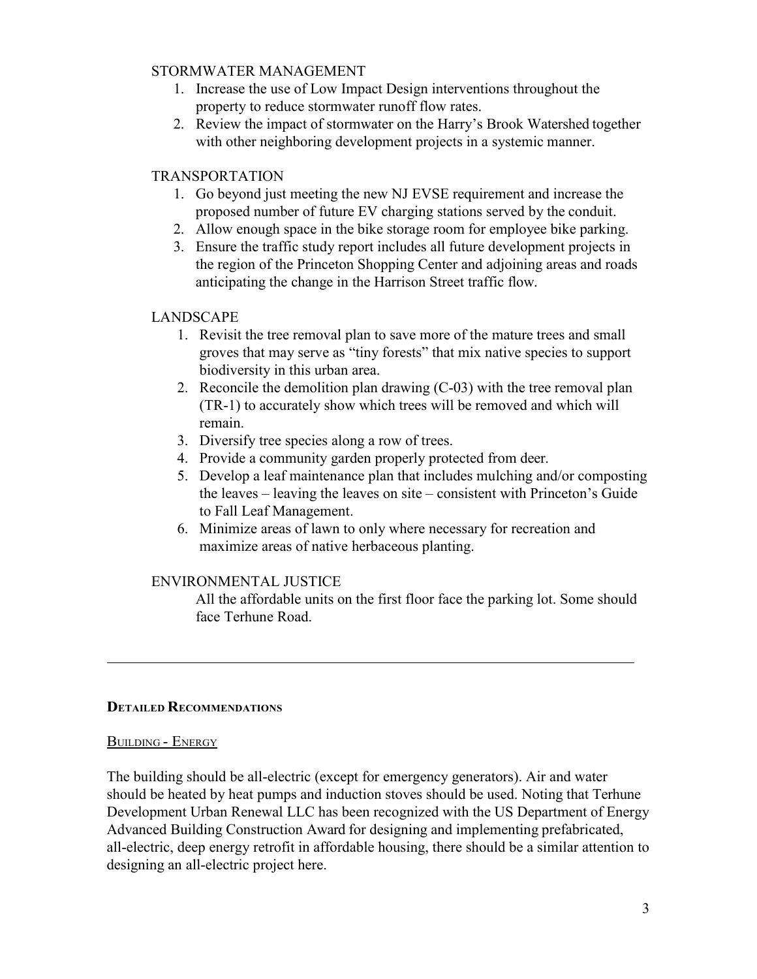#### STORMWATER MANAGEMENT

- 1. Increase the use of Low Impact Design interventions throughout the property to reduce stormwater runoff flow rates.
- 2. Review the impact of stormwater on the Harry's Brook Watershed together with other neighboring development projects in a systemic manner.

## TRANSPORTATION

- 1. Go beyond just meeting the new NJ EVSE requirement and increase the proposed number of future EV charging stations served by the conduit.
- 2. Allow enough space in the bike storage room for employee bike parking.
- 3. Ensure the traffic study report includes all future development projects in the region of the Princeton Shopping Center and adjoining areas and roads anticipating the change in the Harrison Street traffic flow.

## LANDSCAPE

- 1. Revisit the tree removal plan to save more of the mature trees and small groves that may serve as "tiny forests" that mix native species to support biodiversity in this urban area.
- 2. Reconcile the demolition plan drawing (C-03) with the tree removal plan (TR-1) to accurately show which trees will be removed and which will remain.
- 3. Diversify tree species along a row of trees.
- 4. Provide a community garden properly protected from deer.
- 5. Develop a leaf maintenance plan that includes mulching and/or composting the leaves – leaving the leaves on site – consistent with Princeton's Guide to Fall Leaf Management.
- 6. Minimize areas of lawn to only where necessary for recreation and maximize areas of native herbaceous planting.

## ENVIRONMENTAL JUSTICE

All the affordable units on the first floor face the parking lot. Some should face Terhune Road.

#### **DETAILED RECOMMENDATIONS**

#### BUILDING - ENERGY

The building should be all-electric (except for emergency generators). Air and water should be heated by heat pumps and induction stoves should be used. Noting that Terhune Development Urban Renewal LLC has been recognized with the US Department of Energy Advanced Building Construction Award for designing and implementing prefabricated, all-electric, deep energy retrofit in affordable housing, there should be a similar attention to designing an all-electric project here.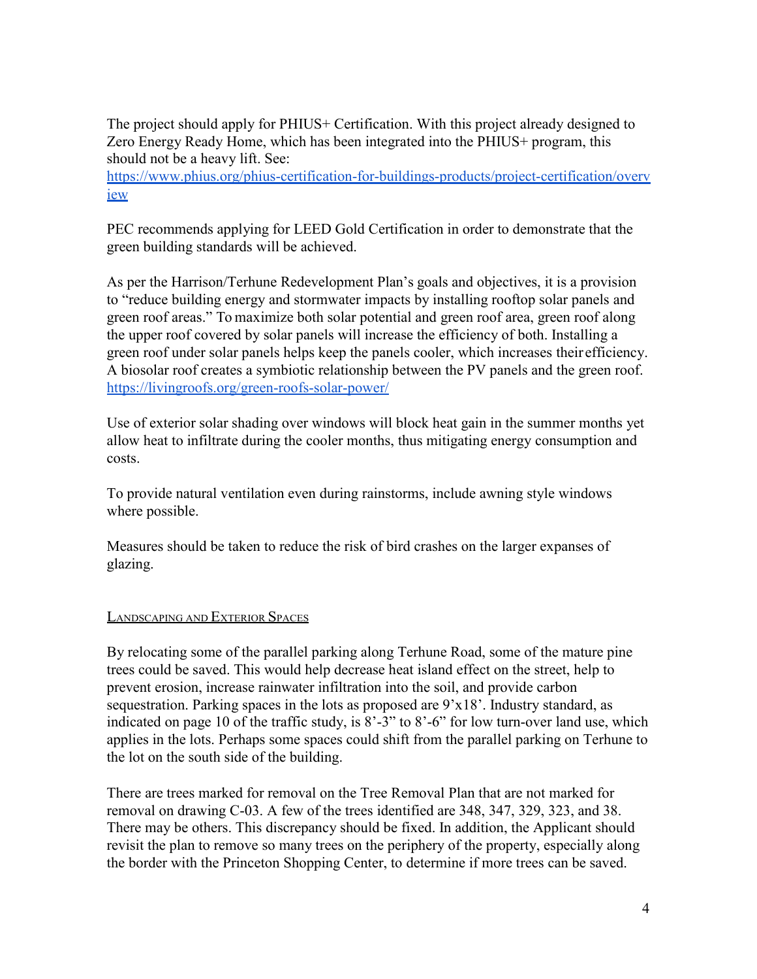The project should apply for PHIUS+ Certification. With this project already designed to Zero Energy Ready Home, which has been integrated into the PHIUS+ program, this should not be a heavy lift. See:

[https://www.phius.org/phius-certification-for-buildings-products/project-certification/overv](https://www.phius.org/phius-certification-for-buildings-products/project-certification/overview) [iew](https://www.phius.org/phius-certification-for-buildings-products/project-certification/overview)

PEC recommends applying for LEED Gold Certification in order to demonstrate that the green building standards will be achieved.

As per the Harrison/Terhune Redevelopment Plan's goals and objectives, it is a provision to "reduce building energy and stormwater impacts by installing rooftop solar panels and green roof areas." To maximize both solar potential and green roof area, green roof along the upper roof covered by solar panels will increase the efficiency of both. Installing a green roof under solar panels helps keep the panels cooler, which increases their efficiency. A biosolar roof creates a symbiotic relationship between the PV panels and the green roof. <https://livingroofs.org/green-roofs-solar-power/>

Use of exterior solar shading over windows will block heat gain in the summer months yet allow heat to infiltrate during the cooler months, thus mitigating energy consumption and costs.

To provide natural ventilation even during rainstorms, include awning style windows where possible.

Measures should be taken to reduce the risk of bird crashes on the larger expanses of glazing.

#### LANDSCAPING AND EXTERIOR SPACES

By relocating some of the parallel parking along Terhune Road, some of the mature pine trees could be saved. This would help decrease heat island effect on the street, help to prevent erosion, increase rainwater infiltration into the soil, and provide carbon sequestration. Parking spaces in the lots as proposed are 9'x18'. Industry standard, as indicated on page 10 of the traffic study, is 8'-3" to 8'-6" for low turn-over land use, which applies in the lots. Perhaps some spaces could shift from the parallel parking on Terhune to the lot on the south side of the building.

There are trees marked for removal on the Tree Removal Plan that are not marked for removal on drawing C-03. A few of the trees identified are 348, 347, 329, 323, and 38. There may be others. This discrepancy should be fixed. In addition, the Applicant should revisit the plan to remove so many trees on the periphery of the property, especially along the border with the Princeton Shopping Center, to determine if more trees can be saved.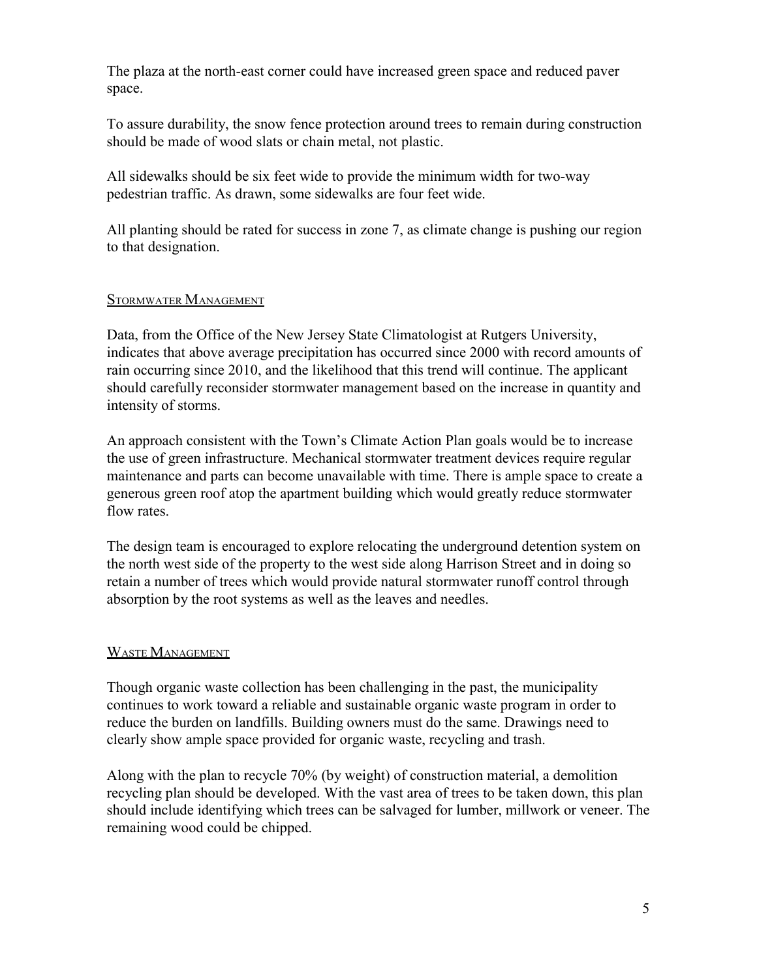The plaza at the north-east corner could have increased green space and reduced paver space.

To assure durability, the snow fence protection around trees to remain during construction should be made of wood slats or chain metal, not plastic.

All sidewalks should be six feet wide to provide the minimum width for two-way pedestrian traffic. As drawn, some sidewalks are four feet wide.

All planting should be rated for success in zone 7, as climate change is pushing our region to that designation.

#### STORMWATER MANAGEMENT

Data, from the Office of the New Jersey State Climatologist at Rutgers University, indicates that above average precipitation has occurred since 2000 with record amounts of rain occurring since 2010, and the likelihood that this trend will continue. The applicant should carefully reconsider stormwater management based on the increase in quantity and intensity of storms.

An approach consistent with the Town's Climate Action Plan goals would be to increase the use of green infrastructure. Mechanical stormwater treatment devices require regular maintenance and parts can become unavailable with time. There is ample space to create a generous green roof atop the apartment building which would greatly reduce stormwater flow rates.

The design team is encouraged to explore relocating the underground detention system on the north west side of the property to the west side along Harrison Street and in doing so retain a number of trees which would provide natural stormwater runoff control through absorption by the root systems as well as the leaves and needles.

#### WASTE MANAGEMENT

Though organic waste collection has been challenging in the past, the municipality continues to work toward a reliable and sustainable organic waste program in order to reduce the burden on landfills. Building owners must do the same. Drawings need to clearly show ample space provided for organic waste, recycling and trash.

Along with the plan to recycle 70% (by weight) of construction material, a demolition recycling plan should be developed. With the vast area of trees to be taken down, this plan should include identifying which trees can be salvaged for lumber, millwork or veneer. The remaining wood could be chipped.